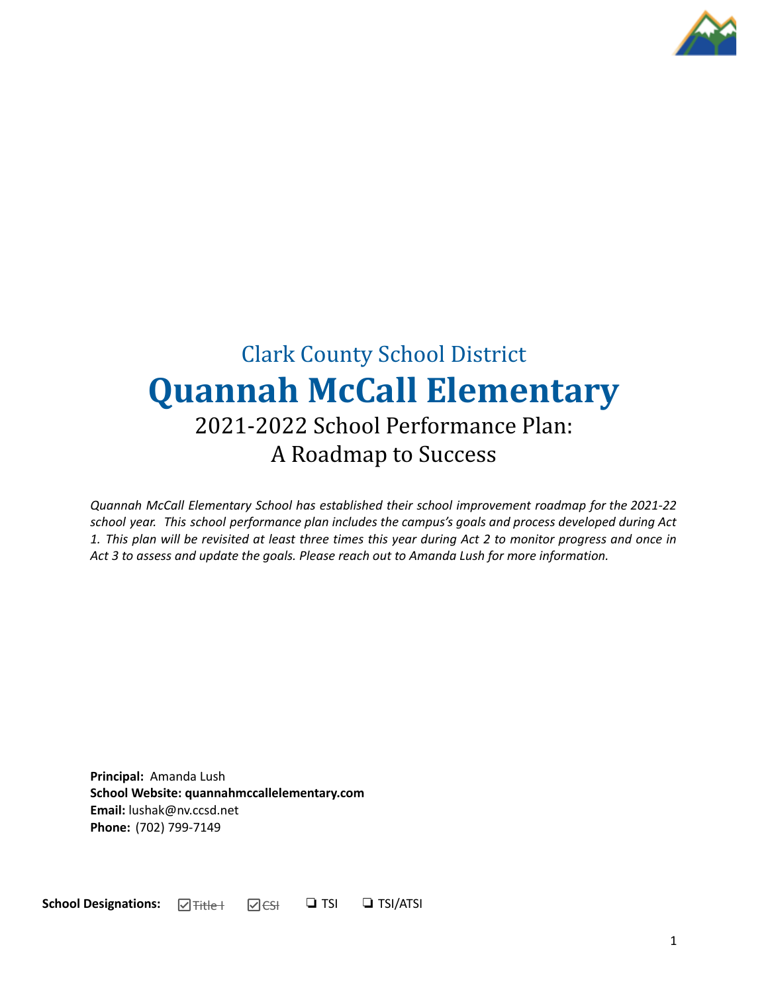

# Clark County School District **Quannah McCall Elementary** 2021-2022 School Performance Plan: A Roadmap to Success

*Quannah McCall Elementary School has established their school improvement roadmap for the 2021-22 school year. This school performance plan includes the campus's goals and process developed during Act* 1. This plan will be revisited at least three times this year during Act 2 to monitor progress and once in *Act 3 to assess and update the goals. Please reach out to Amanda Lush for more information.*

**Principal:** Amanda Lush **School Website: quannahmccallelementary.com Email:** lushak@nv.ccsd.net **Phone:** (702) 799-7149

**School Designations:** <br> $\Box$  <del>Title |</del>  $\Box$  <del>CSI</del>  $\Box$  **TSI**  $\Box$  **TSI**/ATSI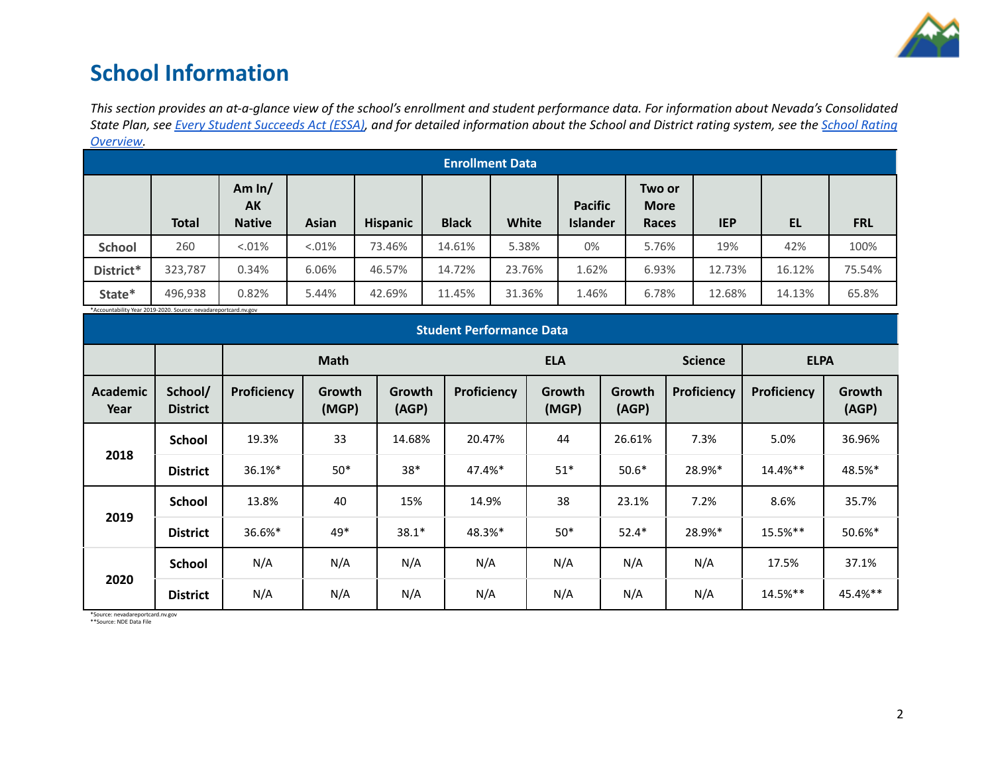

## **School Information**

This section provides an at-a-glance view of the school's enrollment and student performance data. For information about Nevada's Consolidated State Plan, see Every Student [Succeeds](https://doe.nv.gov/uploadedFiles/ndedoenvgov/content/Boards_Commissions_Councils/ESSA_Adv_Group/NevadaSubmittedConsolidatedPlanFinal.pdf) Act (ESSA), and for detailed information about the School and District rating system, see the School [Rating](http://nevadareportcard.nv.gov/DI/MoreDownload?filename=Nevadas%20School%20Rating%20System.pdf) *[Overview.](http://nevadareportcard.nv.gov/DI/MoreDownload?filename=Nevadas%20School%20Rating%20System.pdf)*

|               | ---------              |                                 |              |                 |              |        |                                   |                                |            |        |            |
|---------------|------------------------|---------------------------------|--------------|-----------------|--------------|--------|-----------------------------------|--------------------------------|------------|--------|------------|
|               | <b>Enrollment Data</b> |                                 |              |                 |              |        |                                   |                                |            |        |            |
|               | <b>Total</b>           | Am $ln/$<br>AK<br><b>Native</b> | <b>Asian</b> | <b>Hispanic</b> | <b>Black</b> | White  | <b>Pacific</b><br><b>Islander</b> | Two or<br><b>More</b><br>Races | <b>IEP</b> | EL     | <b>FRL</b> |
| <b>School</b> | 260                    | $< 0.01\%$                      | < 0.01%      | 73.46%          | 14.61%       | 5.38%  | 0%                                | 5.76%                          | 19%        | 42%    | 100%       |
| District*     | 323,787                | 0.34%                           | 6.06%        | 46.57%          | 14.72%       | 23.76% | 1.62%                             | 6.93%                          | 12.73%     | 16.12% | 75.54%     |
| State*        | 496,938                | 0.82%                           | 5.44%        | 42.69%          | 11.45%       | 31.36% | 1.46%                             | 6.78%                          | 12.68%     | 14.13% | 65.8%      |

\*Accountability Year 2019-2020. Source: nevadareportcard.nv.gov

| Accountability Teal 2013-2020. Source: hevauareportcaru.nv.gov<br><b>Student Performance Data</b> |                            |             |                 |                 |             |                 |                 |                    |                    |                 |
|---------------------------------------------------------------------------------------------------|----------------------------|-------------|-----------------|-----------------|-------------|-----------------|-----------------|--------------------|--------------------|-----------------|
|                                                                                                   |                            | <b>Math</b> |                 |                 |             | <b>ELA</b>      |                 |                    | <b>ELPA</b>        |                 |
| <b>Academic</b><br>Year                                                                           | School/<br><b>District</b> | Proficiency | Growth<br>(MGP) | Growth<br>(AGP) | Proficiency | Growth<br>(MGP) | Growth<br>(AGP) | <b>Proficiency</b> | <b>Proficiency</b> | Growth<br>(AGP) |
|                                                                                                   | <b>School</b>              | 19.3%       | 33              | 14.68%          | 20.47%      | 44              | 26.61%          | 7.3%               | 5.0%               | 36.96%          |
| 2018                                                                                              | <b>District</b>            | 36.1%*      | $50*$           | $38*$           | 47.4%*      | $51*$           | $50.6*$         | 28.9%*             | 14.4%**            | 48.5%*          |
|                                                                                                   | School                     | 13.8%       | 40              | 15%             | 14.9%       | 38              | 23.1%           | 7.2%               | 8.6%               | 35.7%           |
| 2019                                                                                              | <b>District</b>            | 36.6%*      | 49*             | $38.1*$         | 48.3%*      | $50*$           | $52.4*$         | 28.9%*             | 15.5%**            | 50.6%*          |
|                                                                                                   | <b>School</b>              | N/A         | N/A             | N/A             | N/A         | N/A             | N/A             | N/A                | 17.5%              | 37.1%           |
| 2020                                                                                              | <b>District</b>            | N/A         | N/A             | N/A             | N/A         | N/A             | N/A             | N/A                | 14.5%**            | 45.4%**         |

\*Source: nevadareportcard.nv.gov \*\*Source: NDE Data File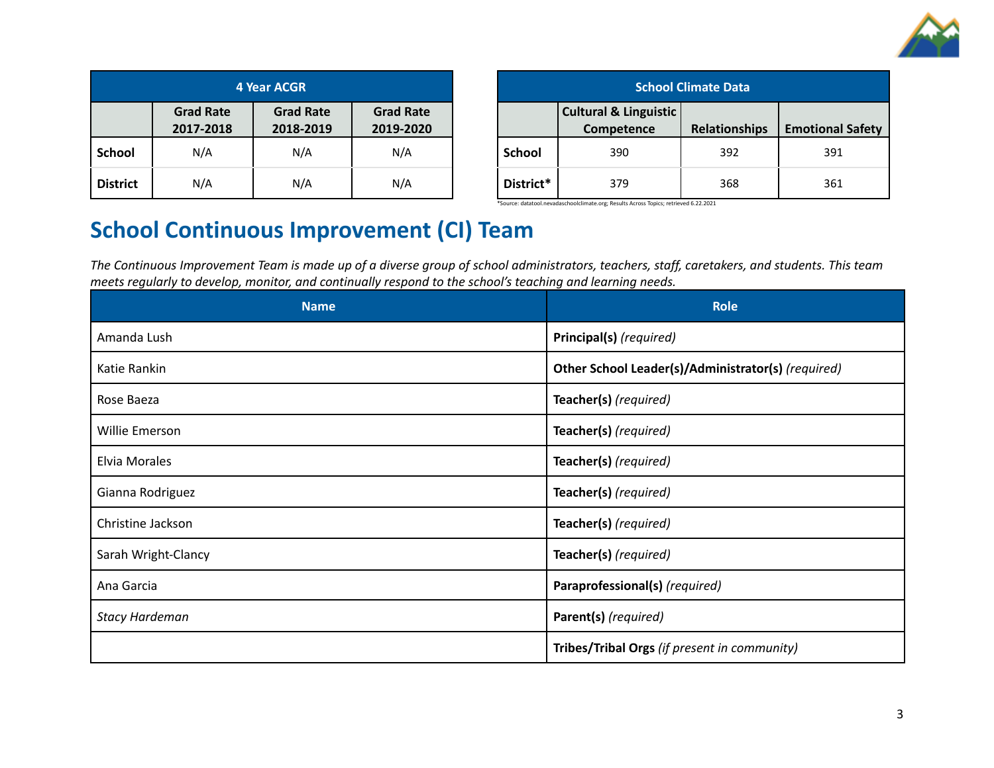

| 4 Year ACGR     |                                                                                                 |     |     |  |  |
|-----------------|-------------------------------------------------------------------------------------------------|-----|-----|--|--|
|                 | <b>Grad Rate</b><br><b>Grad Rate</b><br><b>Grad Rate</b><br>2018-2019<br>2019-2020<br>2017-2018 |     |     |  |  |
| <b>School</b>   | N/A                                                                                             | N/A | N/A |  |  |
| <b>District</b> | N/A                                                                                             | N/A | N/A |  |  |

| <b>School Climate Data</b> |                                                |               |                         |  |  |
|----------------------------|------------------------------------------------|---------------|-------------------------|--|--|
|                            | <b>Cultural &amp; Linguistic</b><br>Competence | Relationships | <b>Emotional Safety</b> |  |  |
| <b>School</b>              | 390                                            | 392           | 391                     |  |  |
| District*                  | 379                                            | 368           | 361                     |  |  |

\*Source: datatool.nevadaschoolclimate.org; Results Across Topics; retrieved 6.22.2021

# **School Continuous Improvement (CI) Team**

The Continuous Improvement Team is made up of a diverse group of school administrators, teachers, staff, caretakers, and students. This team *meets regularly to develop, monitor, and continually respond to the school's teaching and learning needs.*

| <b>Name</b>           | <b>Role</b>                                        |  |  |
|-----------------------|----------------------------------------------------|--|--|
| Amanda Lush           | Principal(s) (required)                            |  |  |
| Katie Rankin          | Other School Leader(s)/Administrator(s) (required) |  |  |
| Rose Baeza            | Teacher(s) (required)                              |  |  |
| Willie Emerson        | Teacher(s) (required)                              |  |  |
| Elvia Morales         | Teacher(s) (required)                              |  |  |
| Gianna Rodriguez      | Teacher(s) (required)                              |  |  |
| Christine Jackson     | Teacher(s) (required)                              |  |  |
| Sarah Wright-Clancy   | Teacher(s) (required)                              |  |  |
| Ana Garcia            | Paraprofessional(s) (required)                     |  |  |
| <b>Stacy Hardeman</b> | Parent(s) (required)                               |  |  |
|                       | Tribes/Tribal Orgs (if present in community)       |  |  |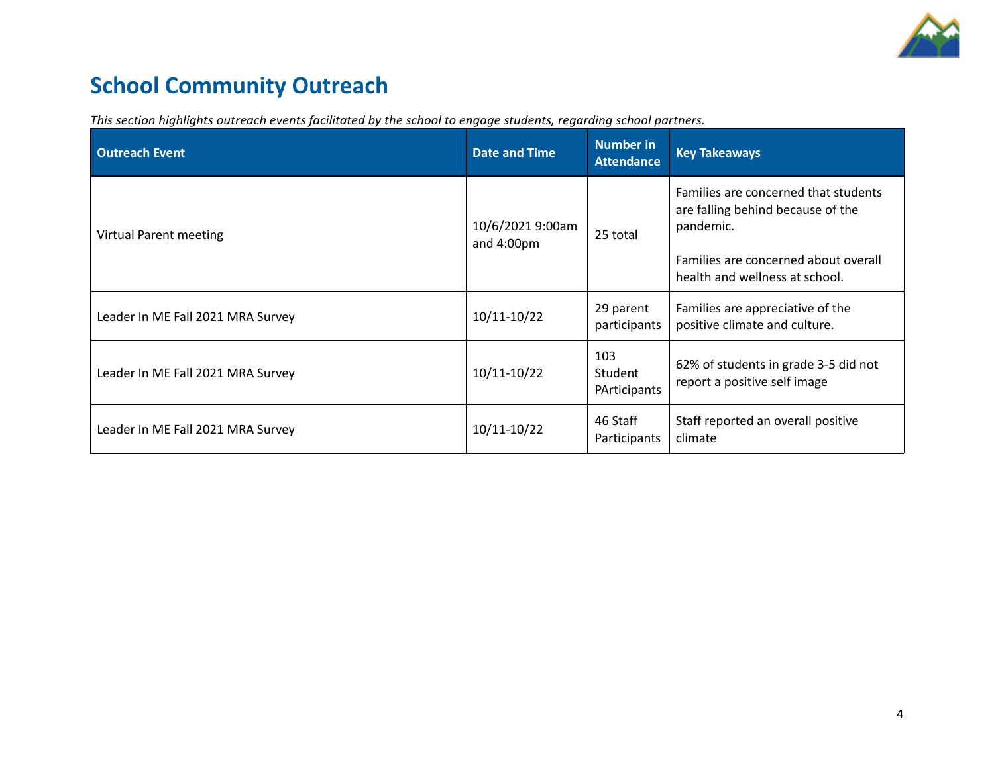

# **School Community Outreach**

| <b>Outreach Event</b>             | <b>Date and Time</b>           | <b>Number in</b><br><b>Attendance</b> | <b>Key Takeaways</b>                                                                                                                                             |
|-----------------------------------|--------------------------------|---------------------------------------|------------------------------------------------------------------------------------------------------------------------------------------------------------------|
| Virtual Parent meeting            | 10/6/2021 9:00am<br>and 4:00pm | 25 total                              | Families are concerned that students<br>are falling behind because of the<br>pandemic.<br>Families are concerned about overall<br>health and wellness at school. |
| Leader In ME Fall 2021 MRA Survey | 10/11-10/22                    | 29 parent<br>participants             | Families are appreciative of the<br>positive climate and culture.                                                                                                |
| Leader In ME Fall 2021 MRA Survey | 10/11-10/22                    | 103<br>Student<br>PArticipants        | 62% of students in grade 3-5 did not<br>report a positive self image                                                                                             |
| Leader In ME Fall 2021 MRA Survey | 10/11-10/22                    | 46 Staff<br>Participants              | Staff reported an overall positive<br>climate                                                                                                                    |

*This section highlights outreach events facilitated by the school to engage students, regarding school partners.*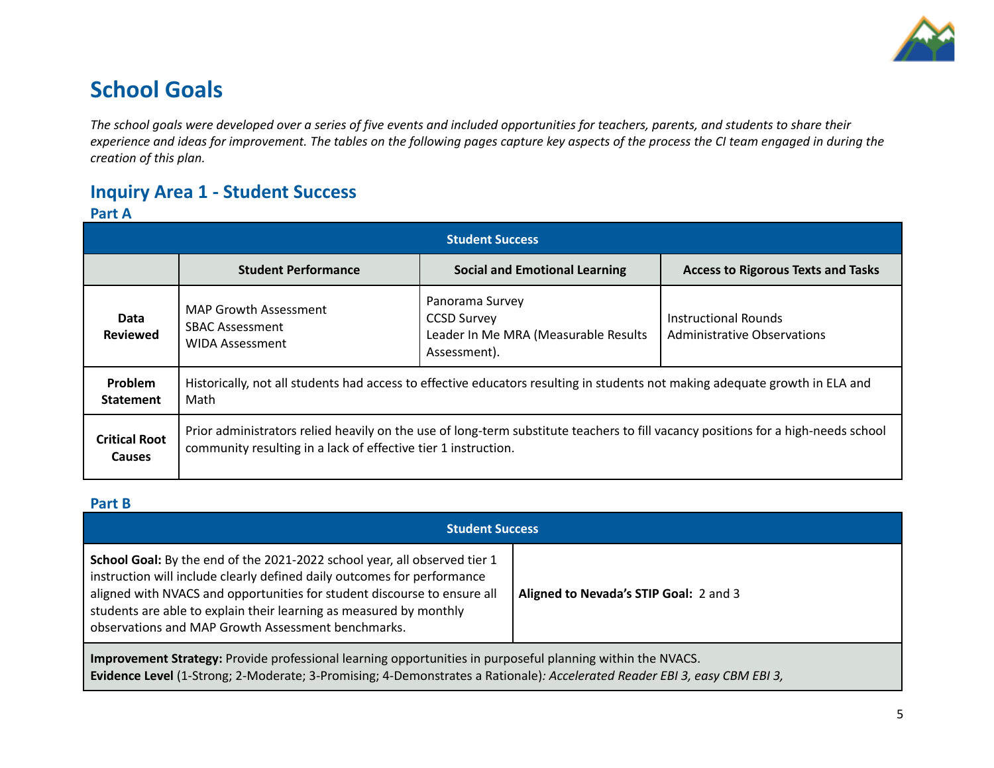

## **School Goals**

The school goals were developed over a series of five events and included opportunities for teachers, parents, and students to share their experience and ideas for improvement. The tables on the following pages capture key aspects of the process the CI team engaged in during the *creation of this plan.*

### **Inquiry Area 1 - Student Success**

### **Part A**

| <b>Student Success</b>                |                                                                                                                                                                                                     |                                                                                               |                                                     |  |  |
|---------------------------------------|-----------------------------------------------------------------------------------------------------------------------------------------------------------------------------------------------------|-----------------------------------------------------------------------------------------------|-----------------------------------------------------|--|--|
|                                       | <b>Student Performance</b>                                                                                                                                                                          | <b>Social and Emotional Learning</b>                                                          | <b>Access to Rigorous Texts and Tasks</b>           |  |  |
| Data<br><b>Reviewed</b>               | <b>MAP Growth Assessment</b><br><b>SBAC Assessment</b><br>WIDA Assessment                                                                                                                           | Panorama Survey<br><b>CCSD Survey</b><br>Leader In Me MRA (Measurable Results<br>Assessment). | Instructional Rounds<br>Administrative Observations |  |  |
| <b>Problem</b><br><b>Statement</b>    | Historically, not all students had access to effective educators resulting in students not making adequate growth in ELA and<br>Math                                                                |                                                                                               |                                                     |  |  |
| <b>Critical Root</b><br><b>Causes</b> | Prior administrators relied heavily on the use of long-term substitute teachers to fill vacancy positions for a high-needs school<br>community resulting in a lack of effective tier 1 instruction. |                                                                                               |                                                     |  |  |

#### **Part B**

| <b>Student Success</b>                                                                                                                                                                                                                                                                                                                                       |                                        |  |  |  |
|--------------------------------------------------------------------------------------------------------------------------------------------------------------------------------------------------------------------------------------------------------------------------------------------------------------------------------------------------------------|----------------------------------------|--|--|--|
| School Goal: By the end of the 2021-2022 school year, all observed tier 1<br>instruction will include clearly defined daily outcomes for performance<br>aligned with NVACS and opportunities for student discourse to ensure all<br>students are able to explain their learning as measured by monthly<br>observations and MAP Growth Assessment benchmarks. | Aligned to Nevada's STIP Goal: 2 and 3 |  |  |  |
| Improvement Strategy: Provide professional learning opportunities in purposeful planning within the NVACS.                                                                                                                                                                                                                                                   |                                        |  |  |  |

**Evidence Level** (1-Strong; 2-Moderate; 3-Promising; 4-Demonstrates a Rationale)*: Accelerated Reader EBI 3, easy CBM EBI 3,*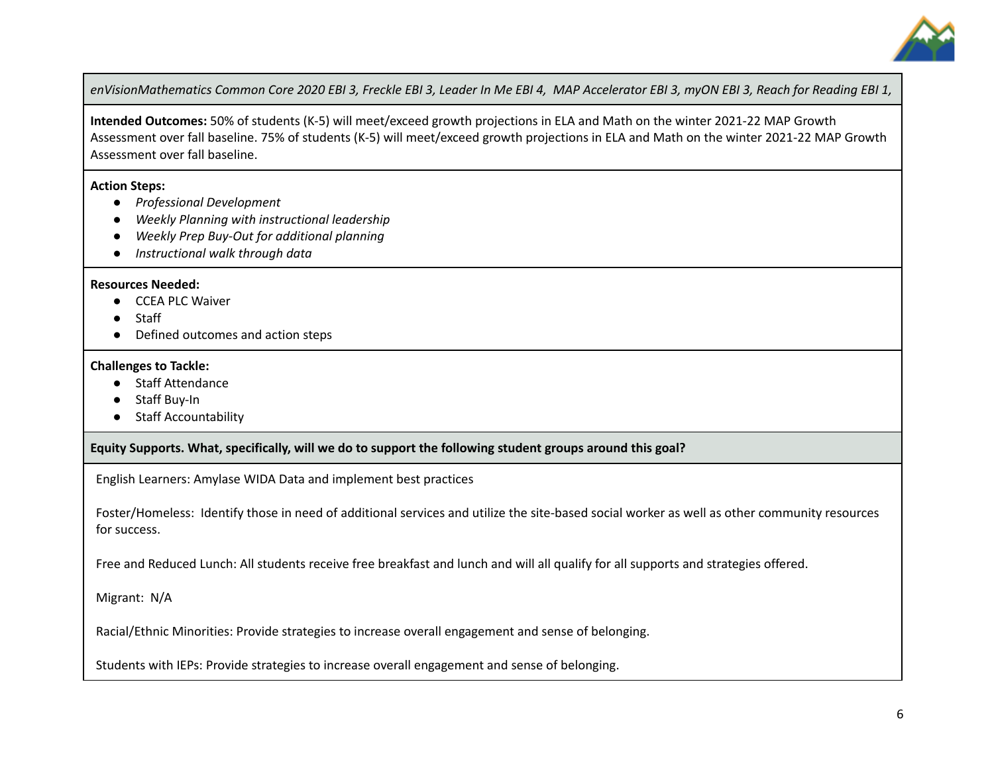

enVisionMathematics Common Core 2020 EBI 3, Freckle EBI 3, Leader In Me EBI 4, MAP Accelerator EBI 3, myON EBI 3, Reach for Reading EBI 1,

**Intended Outcomes:** 50% of students (K-5) will meet/exceed growth projections in ELA and Math on the winter 2021-22 MAP Growth Assessment over fall baseline. 75% of students (K-5) will meet/exceed growth projections in ELA and Math on the winter 2021-22 MAP Growth Assessment over fall baseline.

#### **Action Steps:**

- *● Professional Development*
- *● Weekly Planning with instructional leadership*
- *● Weekly Prep Buy-Out for additional planning*
- *● Instructional walk through data*

#### **Resources Needed:**

- CCEA PLC Waiver
- Staff
- Defined outcomes and action steps

#### **Challenges to Tackle:**

- Staff Attendance
- Staff Buy-In
- Staff Accountability

#### **Equity Supports. What, specifically, will we do to support the following student groups around this goal?**

English Learners: Amylase WIDA Data and implement best practices

Foster/Homeless: Identify those in need of additional services and utilize the site-based social worker as well as other community resources for success.

Free and Reduced Lunch: All students receive free breakfast and lunch and will all qualify for all supports and strategies offered.

Migrant: N/A

Racial/Ethnic Minorities: Provide strategies to increase overall engagement and sense of belonging.

Students with IEPs: Provide strategies to increase overall engagement and sense of belonging.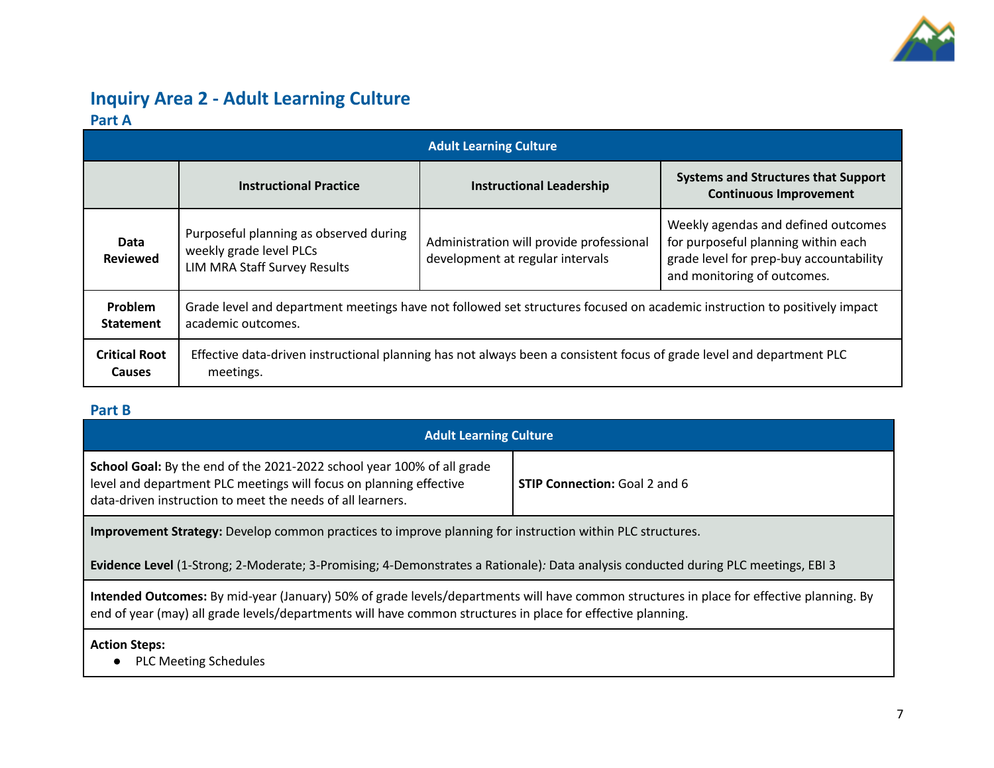

### **Inquiry Area 2 - Adult Learning Culture Part A**

|                                       | <b>Adult Learning Culture</b>                                                                                                                   |                                                                              |                                                                                                                                                      |  |  |  |
|---------------------------------------|-------------------------------------------------------------------------------------------------------------------------------------------------|------------------------------------------------------------------------------|------------------------------------------------------------------------------------------------------------------------------------------------------|--|--|--|
|                                       | <b>Instructional Practice</b>                                                                                                                   | <b>Instructional Leadership</b>                                              | <b>Systems and Structures that Support</b><br><b>Continuous Improvement</b>                                                                          |  |  |  |
| Data<br><b>Reviewed</b>               | Purposeful planning as observed during<br>weekly grade level PLCs<br>LIM MRA Staff Survey Results                                               | Administration will provide professional<br>development at regular intervals | Weekly agendas and defined outcomes<br>for purposeful planning within each<br>grade level for prep-buy accountability<br>and monitoring of outcomes. |  |  |  |
| Problem<br><b>Statement</b>           | Grade level and department meetings have not followed set structures focused on academic instruction to positively impact<br>academic outcomes. |                                                                              |                                                                                                                                                      |  |  |  |
| <b>Critical Root</b><br><b>Causes</b> | Effective data-driven instructional planning has not always been a consistent focus of grade level and department PLC<br>meetings.              |                                                                              |                                                                                                                                                      |  |  |  |

### **Part B**

| <b>Adult Learning Culture</b>                                                                                                                                                                                                                           |  |  |  |  |  |
|---------------------------------------------------------------------------------------------------------------------------------------------------------------------------------------------------------------------------------------------------------|--|--|--|--|--|
| School Goal: By the end of the 2021-2022 school year 100% of all grade<br>level and department PLC meetings will focus on planning effective<br><b>STIP Connection: Goal 2 and 6</b><br>data-driven instruction to meet the needs of all learners.      |  |  |  |  |  |
| <b>Improvement Strategy:</b> Develop common practices to improve planning for instruction within PLC structures.                                                                                                                                        |  |  |  |  |  |
| Evidence Level (1-Strong; 2-Moderate; 3-Promising; 4-Demonstrates a Rationale): Data analysis conducted during PLC meetings, EBI 3                                                                                                                      |  |  |  |  |  |
| Intended Outcomes: By mid-year (January) 50% of grade levels/departments will have common structures in place for effective planning. By<br>end of year (may) all grade levels/departments will have common structures in place for effective planning. |  |  |  |  |  |
| <b>Action Steps:</b><br><b>PLC Meeting Schedules</b>                                                                                                                                                                                                    |  |  |  |  |  |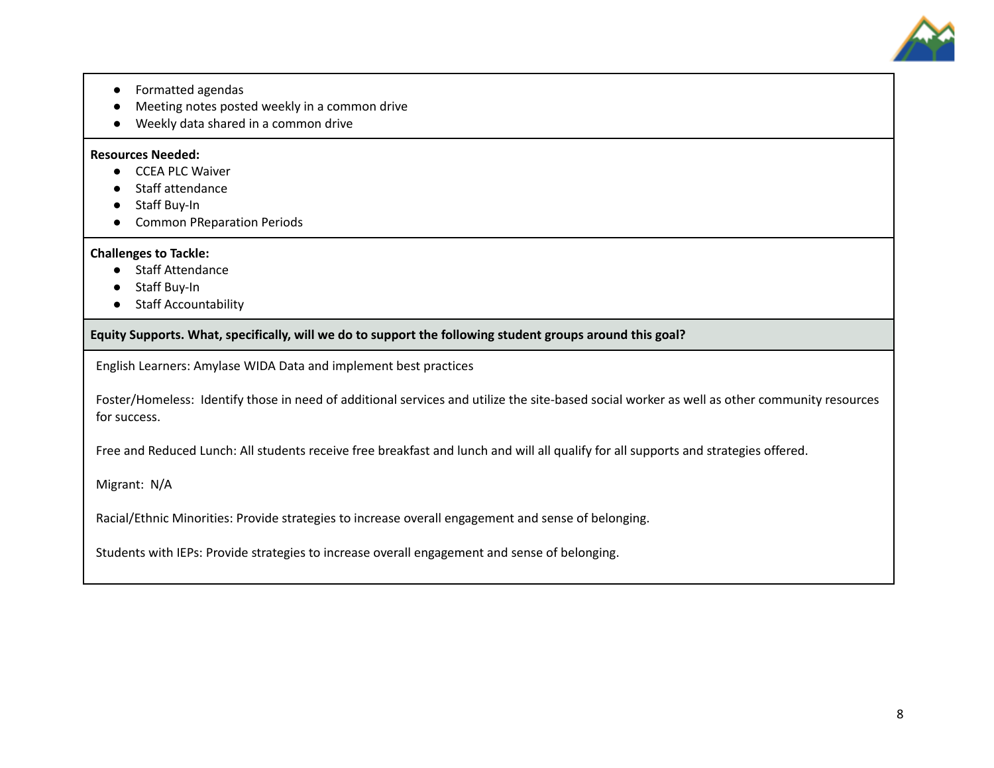

- Formatted agendas
- Meeting notes posted weekly in a common drive
- Weekly data shared in a common drive

#### **Resources Needed:**

- **●** CCEA PLC Waiver
- Staff attendance
- Staff Buy-In
- Common PReparation Periods

#### **Challenges to Tackle:**

- **●** Staff Attendance
- Staff Buy-In
- Staff Accountability

**Equity Supports. What, specifically, will we do to support the following student groups around this goal?**

English Learners: Amylase WIDA Data and implement best practices

Foster/Homeless: Identify those in need of additional services and utilize the site-based social worker as well as other community resources for success.

Free and Reduced Lunch: All students receive free breakfast and lunch and will all qualify for all supports and strategies offered.

Migrant: N/A

Racial/Ethnic Minorities: Provide strategies to increase overall engagement and sense of belonging.

Students with IEPs: Provide strategies to increase overall engagement and sense of belonging.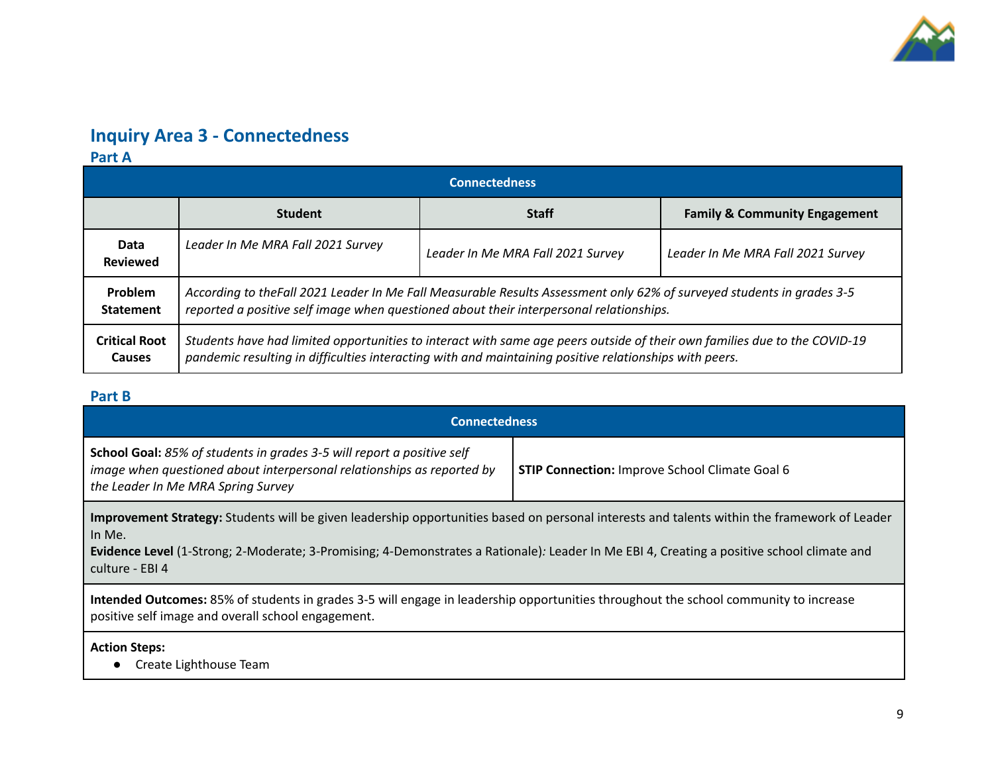

## **Inquiry Area 3 - Connectedness**

**Part A**

| <b>Connectedness</b>                  |                                                                                                                                                                                                                                     |                                   |                                          |  |  |
|---------------------------------------|-------------------------------------------------------------------------------------------------------------------------------------------------------------------------------------------------------------------------------------|-----------------------------------|------------------------------------------|--|--|
|                                       | <b>Student</b>                                                                                                                                                                                                                      | <b>Staff</b>                      | <b>Family &amp; Community Engagement</b> |  |  |
| Data<br><b>Reviewed</b>               | Leader In Me MRA Fall 2021 Survey                                                                                                                                                                                                   | Leader In Me MRA Fall 2021 Survey | Leader In Me MRA Fall 2021 Survey        |  |  |
| <b>Problem</b><br><b>Statement</b>    | According to the Fall 2021 Leader In Me Fall Measurable Results Assessment only 62% of surveyed students in grades 3-5<br>reported a positive self image when questioned about their interpersonal relationships.                   |                                   |                                          |  |  |
| <b>Critical Root</b><br><b>Causes</b> | Students have had limited opportunities to interact with same age peers outside of their own families due to the COVID-19<br>pandemic resulting in difficulties interacting with and maintaining positive relationships with peers. |                                   |                                          |  |  |

### **Part B**

| <b>Connectedness</b>                                                                                                                                                                                                                                                                                                    |  |  |  |  |  |
|-------------------------------------------------------------------------------------------------------------------------------------------------------------------------------------------------------------------------------------------------------------------------------------------------------------------------|--|--|--|--|--|
| <b>School Goal:</b> 85% of students in grades 3-5 will report a positive self<br>image when questioned about interpersonal relationships as reported by<br><b>STIP Connection: Improve School Climate Goal 6</b><br>the Leader In Me MRA Spring Survey                                                                  |  |  |  |  |  |
| Improvement Strategy: Students will be given leadership opportunities based on personal interests and talents within the framework of Leader<br>In Me.<br>Evidence Level (1-Strong; 2-Moderate; 3-Promising; 4-Demonstrates a Rationale): Leader In Me EBI 4, Creating a positive school climate and<br>culture - EBI 4 |  |  |  |  |  |
| Intended Outcomes: 85% of students in grades 3-5 will engage in leadership opportunities throughout the school community to increase<br>positive self image and overall school engagement.                                                                                                                              |  |  |  |  |  |
| <b>Action Steps:</b><br>Create Lighthouse Team                                                                                                                                                                                                                                                                          |  |  |  |  |  |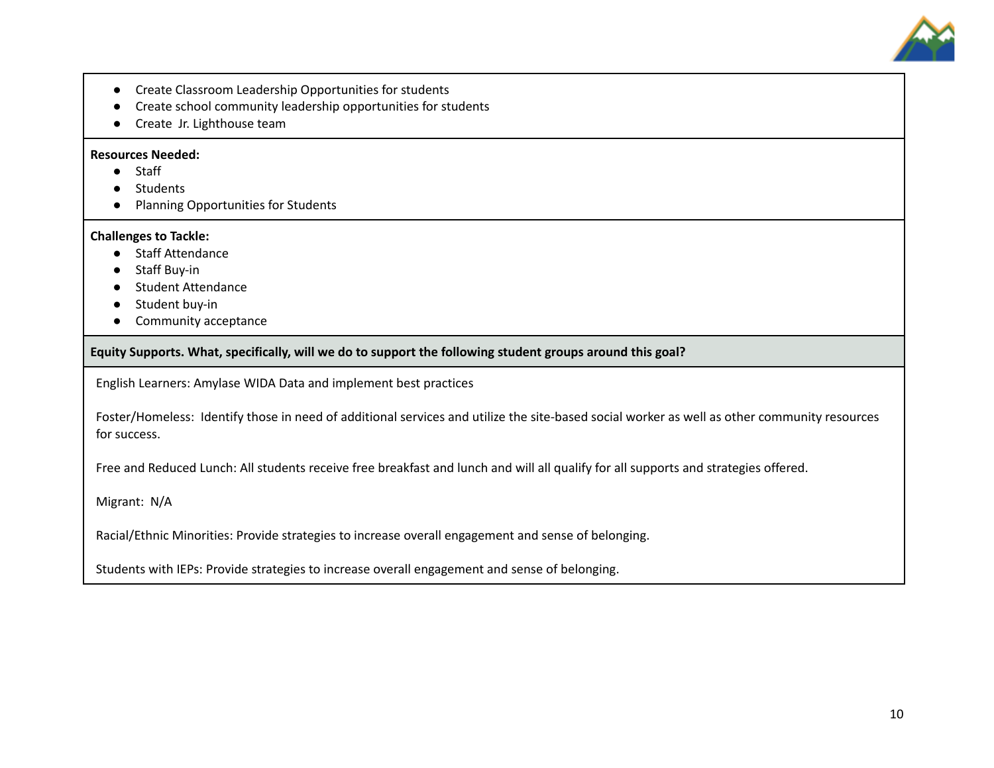

- Create Classroom Leadership Opportunities for students
- Create school community leadership opportunities for students
- Create Jr. Lighthouse team

#### **Resources Needed:**

- **●** Staff
- **Students**
- Planning Opportunities for Students

#### **Challenges to Tackle:**

- Staff Attendance
- Staff Buy-in
- Student Attendance
- Student buy-in
- Community acceptance

**Equity Supports. What, specifically, will we do to support the following student groups around this goal?**

English Learners: Amylase WIDA Data and implement best practices

Foster/Homeless: Identify those in need of additional services and utilize the site-based social worker as well as other community resources for success.

Free and Reduced Lunch: All students receive free breakfast and lunch and will all qualify for all supports and strategies offered.

Migrant: N/A

Racial/Ethnic Minorities: Provide strategies to increase overall engagement and sense of belonging.

Students with IEPs: Provide strategies to increase overall engagement and sense of belonging.